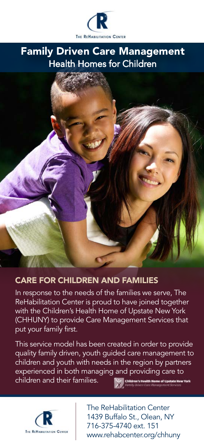

# Family Driven Care Management Health Homes for Children

#### CARE FOR CHILDREN AND FAMILIES

In response to the needs of the families we serve, The ReHabilitation Center is proud to have joined together with the Children's Health Home of Upstate New York (CHHUNY) to provide Care Management Services that put your family first.

This service model has been created in order to provide quality family driven, youth guided care management to children and youth with needs in the region by partners experienced in both managing and providing care to children and their families.





The ReHabilitation Center 1439 Buffalo St., Olean, NY 716-375-4740 ext. 151 www.rehabcenter.org/chhuny